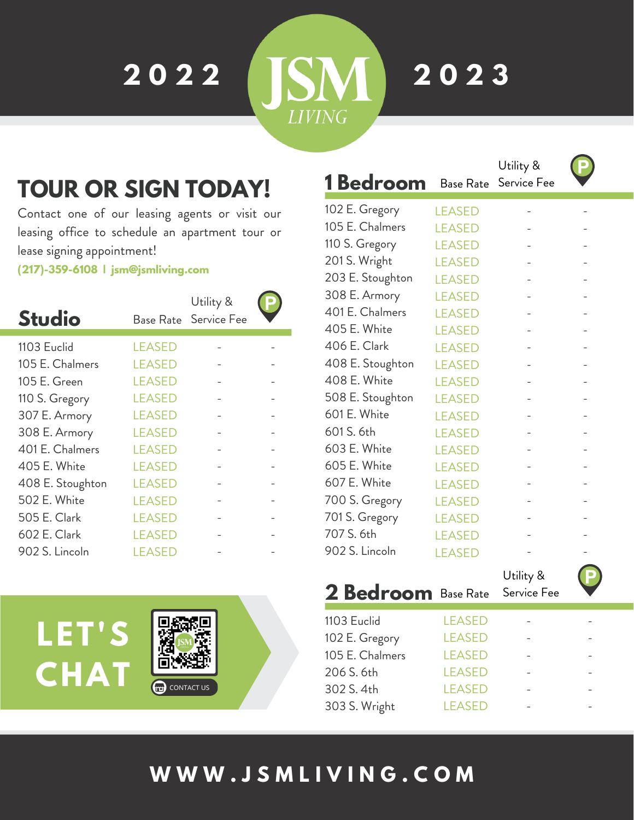**2 0 2 2**

**2 0 2 3**

'M

**LIVING** 

## **TOUR OR SIGN TODAY!**

Contact one of our leasing agents or visit our leasing office to schedule an apartment tour or lease signing appointment!

**(217)-359-6108 | jsm@jsmliving.com**

| <b>Studio</b>    | Base Rate     | Utility &<br>Service Fee |  |
|------------------|---------------|--------------------------|--|
| 1103 Euclid      | <b>LEASED</b> |                          |  |
| 105 E. Chalmers  | <b>LEASED</b> |                          |  |
| 105 E. Green     | <b>LEASED</b> |                          |  |
| 110 S. Gregory   | <b>LEASED</b> |                          |  |
| 307 E. Armory    | <b>LEASED</b> |                          |  |
| 308 E. Armory    | <b>LEASED</b> |                          |  |
| 401 E. Chalmers  | <b>LEASED</b> |                          |  |
| 405 E. White     | <b>LEASED</b> |                          |  |
| 408 E. Stoughton | <b>LEASED</b> |                          |  |
| 502 E. White     | <b>LEASED</b> |                          |  |
| 505 E. Clark     | <b>LEASED</b> |                          |  |
| 602 E. Clark     | <b>LEASED</b> |                          |  |
| 902 S. Lincoln   | LEASED        |                          |  |



|                  |               | Utility &   |  |
|------------------|---------------|-------------|--|
| 1 Bedroom        | Base Rate     | Service Fee |  |
| 102 E. Gregory   | <b>LEASED</b> |             |  |
| 105 E. Chalmers  | <b>LEASED</b> |             |  |
| 110 S. Gregory   | <b>LEASED</b> |             |  |
| 201 S. Wright    | <b>LEASED</b> |             |  |
| 203 E. Stoughton | <b>LEASED</b> |             |  |
| 308 E. Armory    | <b>LEASED</b> |             |  |
| 401 E. Chalmers  | <b>LEASED</b> |             |  |
| 405 E. White     | <b>LEASED</b> |             |  |
| 406 E. Clark     | <b>LEASED</b> |             |  |
| 408 E. Stoughton | <b>LEASED</b> |             |  |
| 408 E. White     | <b>LEASED</b> |             |  |
| 508 E. Stoughton | <b>LEASED</b> |             |  |
| 601 E. White     | <b>LEASED</b> |             |  |
| 601 S. 6th       | <b>LEASED</b> |             |  |
| 603 E. White     | <b>LEASED</b> |             |  |
| 605 E. White     | <b>LEASED</b> |             |  |
| 607 E. White     | <b>LEASED</b> |             |  |
| 700 S. Gregory   | <b>LEASED</b> |             |  |
| 701 S. Gregory   | <b>LEASED</b> |             |  |
| 707 S. 6th       | <b>LEASED</b> |             |  |
| 902 S. Lincoln   | <b>LEASED</b> |             |  |

### **2 Bedroom** Base Rate Utility & Service Fee

| 1103 Euclid     | <b>LEASED</b> |  |
|-----------------|---------------|--|
| 102 E. Gregory  | <b>LEASED</b> |  |
| 105 E. Chalmers | <b>LEASED</b> |  |
| 206 S. 6th      | <b>LEASED</b> |  |
| 302 S. 4th      | <b>LEASED</b> |  |
| 303 S. Wright   | <b>LEASED</b> |  |
|                 |               |  |

## **W W W . J S M L I V I N G . C O M**